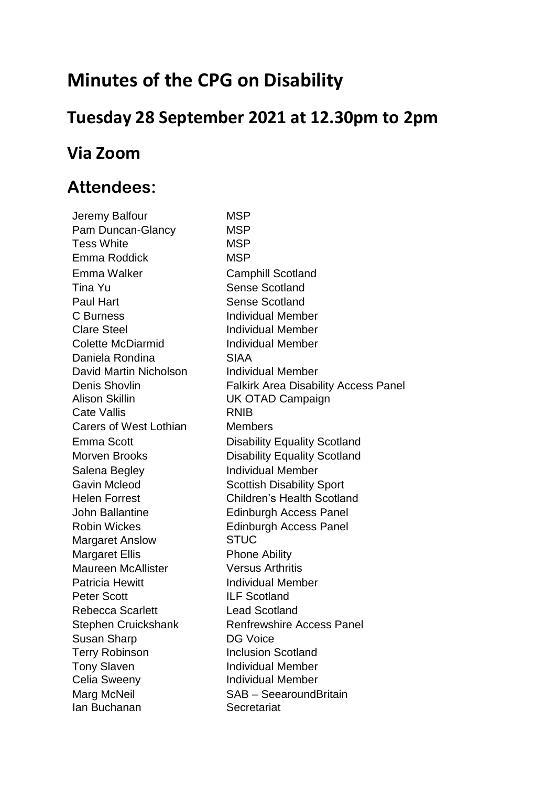# **Minutes of the CPG on Disability**

### **Tuesday 28 September 2021 at 12.30pm to 2pm**

### **Via Zoom**

### **Attendees:**

Jeremy Balfour MSP Pam Duncan-Glancy MSP Tess White **MSP** Emma Roddick MSP Emma Walker Camphill Scotland Tina Yu Sense Scotland Paul Hart Sense Scotland C Burness **Individual Member** Clare Steel **Individual Member** Colette McDiarmid **Individual Member** Daniela Rondina **SIAA** David Martin Nicholson Individual Member Alison Skillin UK OTAD Campaign Cate Vallis **RNIB** Carers of West Lothian Members Salena Begley **Individual Member** Gavin Mcleod Scottish Disability Sport Margaret Anslow STUC Margaret Ellis Phone Ability Maureen McAllister Versus Arthritis Patricia Hewitt **Individual Member** Peter Scott **ILF** Scotland Rebecca Scarlett Lead Scotland Susan Sharp **DG** Voice Terry Robinson **Inclusion Scotland** Tony Slaven **Individual Member** Celia Sweeny **Individual Member** Ian Buchanan Secretariat

Denis Shovlin Falkirk Area Disability Access Panel Emma Scott Disability Equality Scotland Morven Brooks **Disability Equality Scotland** Helen Forrest Children's Health Scotland John Ballantine Edinburgh Access Panel Robin Wickes **Edinburgh Access Panel** Stephen Cruickshank Renfrewshire Access Panel Marg McNeil SAB – SeearoundBritain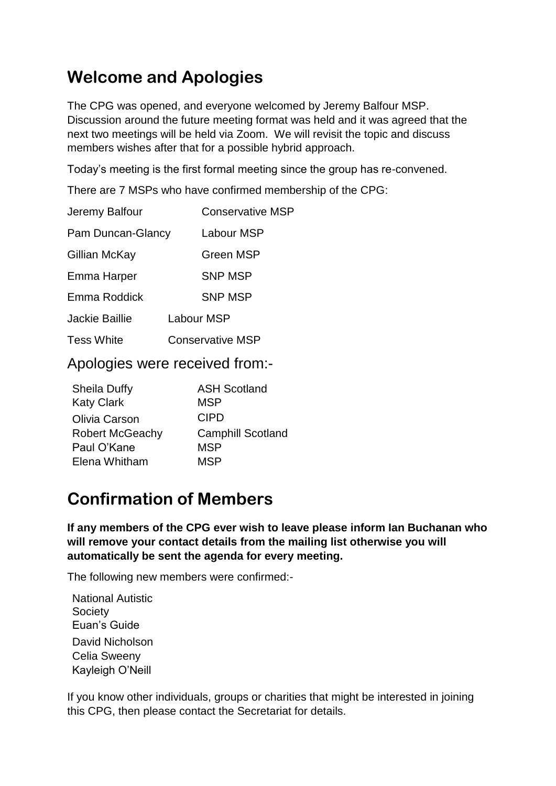## **Welcome and Apologies**

The CPG was opened, and everyone welcomed by Jeremy Balfour MSP. Discussion around the future meeting format was held and it was agreed that the next two meetings will be held via Zoom. We will revisit the topic and discuss members wishes after that for a possible hybrid approach.

Today's meeting is the first formal meeting since the group has re-convened.

There are 7 MSPs who have confirmed membership of the CPG:

| <b>Conservative MSP</b>         |
|---------------------------------|
| Pam Duncan-Glancy<br>Labour MSP |
| Green MSP                       |
| <b>SNP MSP</b>                  |
| <b>SNP MSP</b>                  |
| <b>Labour MSP</b>               |
| <b>Conservative MSP</b>         |
|                                 |

Apologies were received from:-

| <b>ASH Scotland</b>      |
|--------------------------|
| <b>MSP</b>               |
| <b>CIPD</b>              |
| <b>Camphill Scotland</b> |
| <b>MSP</b>               |
| MSP                      |
|                          |

## **Confirmation of Members**

**If any members of the CPG ever wish to leave please inform Ian Buchanan who will remove your contact details from the mailing list otherwise you will automatically be sent the agenda for every meeting.**

The following new members were confirmed:-

National Autistic **Society** Euan's Guide David Nicholson Celia Sweeny Kayleigh O'Neill

If you know other individuals, groups or charities that might be interested in joining this CPG, then please contact the Secretariat for details.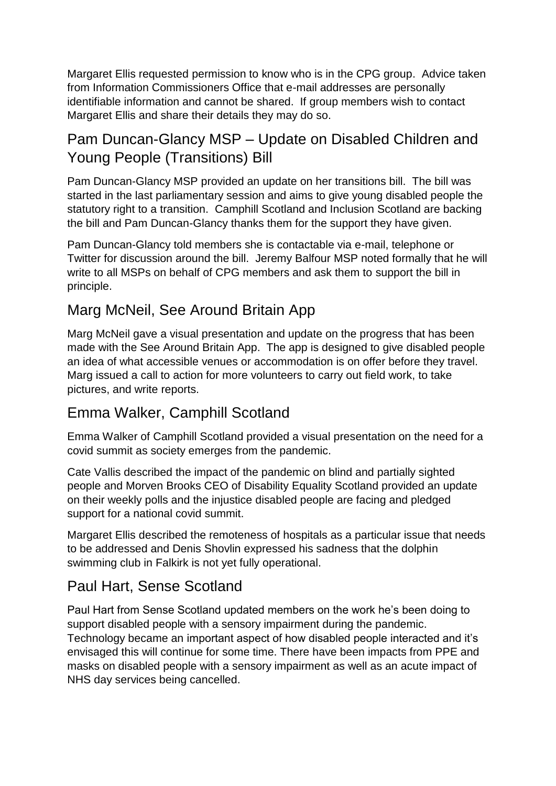Margaret Ellis requested permission to know who is in the CPG group. Advice taken from Information Commissioners Office that e-mail addresses are personally identifiable information and cannot be shared. If group members wish to contact Margaret Ellis and share their details they may do so.

#### Pam Duncan-Glancy MSP – Update on Disabled Children and Young People (Transitions) Bill

Pam Duncan-Glancy MSP provided an update on her transitions bill. The bill was started in the last parliamentary session and aims to give young disabled people the statutory right to a transition. Camphill Scotland and Inclusion Scotland are backing the bill and Pam Duncan-Glancy thanks them for the support they have given.

Pam Duncan-Glancy told members she is contactable via e-mail, telephone or Twitter for discussion around the bill. Jeremy Balfour MSP noted formally that he will write to all MSPs on behalf of CPG members and ask them to support the bill in principle.

#### Marg McNeil, See Around Britain App

Marg McNeil gave a visual presentation and update on the progress that has been made with the See Around Britain App. The app is designed to give disabled people an idea of what accessible venues or accommodation is on offer before they travel. Marg issued a call to action for more volunteers to carry out field work, to take pictures, and write reports.

#### Emma Walker, Camphill Scotland

Emma Walker of Camphill Scotland provided a visual presentation on the need for a covid summit as society emerges from the pandemic.

Cate Vallis described the impact of the pandemic on blind and partially sighted people and Morven Brooks CEO of Disability Equality Scotland provided an update on their weekly polls and the injustice disabled people are facing and pledged support for a national covid summit.

Margaret Ellis described the remoteness of hospitals as a particular issue that needs to be addressed and Denis Shovlin expressed his sadness that the dolphin swimming club in Falkirk is not yet fully operational.

#### Paul Hart, Sense Scotland

Paul Hart from Sense Scotland updated members on the work he's been doing to support disabled people with a sensory impairment during the pandemic. Technology became an important aspect of how disabled people interacted and it's envisaged this will continue for some time. There have been impacts from PPE and masks on disabled people with a sensory impairment as well as an acute impact of NHS day services being cancelled.